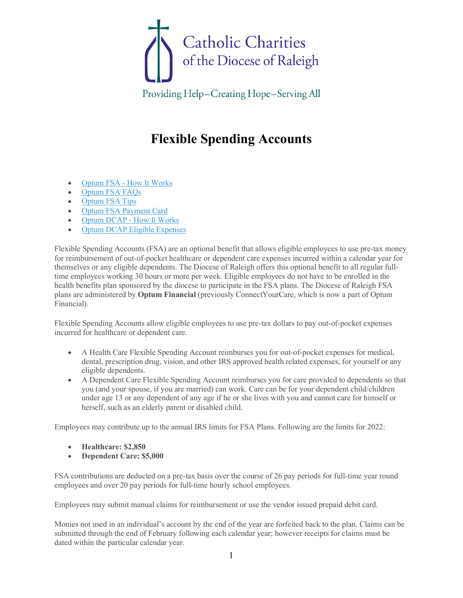

Providing Help-Creating Hope-Serving All

## **Flexible Spending Accounts**

- Optum FSA [How It Works](https://dioceseofraleigh.org/media/3856)
- [Optum FSA FAQs](https://dioceseofraleigh.org/media/3857)
- [Optum FSA Tips](https://dioceseofraleigh.org/media/3858)
- [Optum FSA Payment Card](https://dioceseofraleigh.org/media/3859)
- [Optum DCAP -](https://dioceseofraleigh.org/media/3860) How It Works
- [Optum DCAP Eligible Expenses](https://dioceseofraleigh.org/media/3861)

Flexible Spending Accounts (FSA) are an optional benefit that allows eligible employees to use pre-tax money for reimbursement of out-of-pocket healthcare or dependent care expenses incurred within a calendar year for themselves or any eligible dependents. The Diocese of Raleigh offers this optional benefit to all regular fulltime employees working 30 hours or more per week. Eligible employees do not have to be enrolled in the health benefits plan sponsored by the diocese to participate in the FSA plans. The Diocese of Raleigh FSA plans are administered by **Optum Financial** (previously ConnectYourCare, which is now a part of Optum Financial).

Flexible Spending Accounts allow eligible employees to use pre-tax dollars to pay out-of-pocket expenses incurred for healthcare or dependent care.

- A Health Care Flexible Spending Account reimburses you for out-of-pocket expenses for medical, dental, prescription drug, vision, and other IRS approved health related expenses, for yourself or any eligible dependents.
- A Dependent Care Flexible Spending Account reimburses you for care provided to dependents so that you (and your spouse, if you are married) can work. Care can be for your dependent child/children under age 13 or any dependent of any age if he or she lives with you and cannot care for himself or herself, such as an elderly parent or disabled child.

Employees may contribute up to the annual IRS limits for FSA Plans. Following are the limits for 2022:

- **Healthcare: \$2,850**
- **Dependent Care: \$5,000**

FSA contributions are deducted on a pre-tax basis over the course of 26 pay periods for full-time year round employees and over 20 pay periods for full-time hourly school employees.

Employees may submit manual claims for reimbursement or use the vendor issued prepaid debit card.

Monies not used in an individual's account by the end of the year are forfeited back to the plan. Claims can be submitted through the end of February following each calendar year; however receipts for claims must be dated within the particular calendar year.